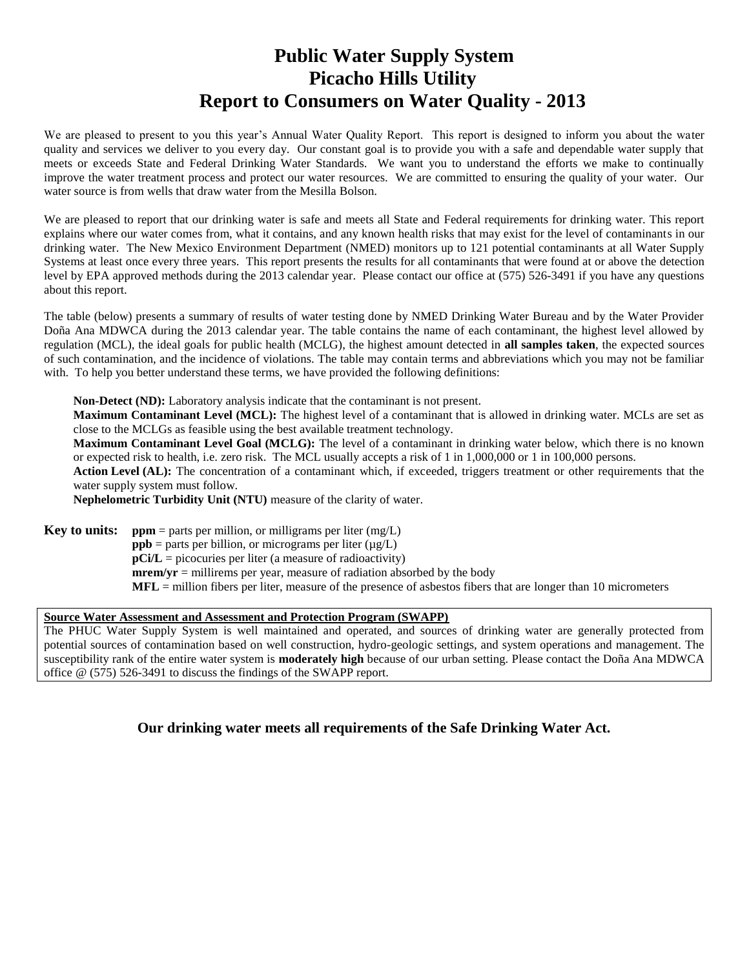# **Public Water Supply System Picacho Hills Utility Report to Consumers on Water Quality - 2013**

We are pleased to present to you this year's Annual Water Quality Report. This report is designed to inform you about the water quality and services we deliver to you every day. Our constant goal is to provide you with a safe and dependable water supply that meets or exceeds State and Federal Drinking Water Standards. We want you to understand the efforts we make to continually improve the water treatment process and protect our water resources. We are committed to ensuring the quality of your water. Our water source is from wells that draw water from the Mesilla Bolson.

We are pleased to report that our drinking water is safe and meets all State and Federal requirements for drinking water. This report explains where our water comes from, what it contains, and any known health risks that may exist for the level of contaminants in our drinking water. The New Mexico Environment Department (NMED) monitors up to 121 potential contaminants at all Water Supply Systems at least once every three years. This report presents the results for all contaminants that were found at or above the detection level by EPA approved methods during the 2013 calendar year. Please contact our office at (575) 526-3491 if you have any questions about this report.

The table (below) presents a summary of results of water testing done by NMED Drinking Water Bureau and by the Water Provider Doña Ana MDWCA during the 2013 calendar year. The table contains the name of each contaminant, the highest level allowed by regulation (MCL), the ideal goals for public health (MCLG), the highest amount detected in **all samples taken**, the expected sources of such contamination, and the incidence of violations. The table may contain terms and abbreviations which you may not be familiar with. To help you better understand these terms, we have provided the following definitions:

**Non-Detect (ND):** Laboratory analysis indicate that the contaminant is not present.

**Maximum Contaminant Level (MCL):** The highest level of a contaminant that is allowed in drinking water. MCLs are set as close to the MCLGs as feasible using the best available treatment technology.

**Maximum Contaminant Level Goal (MCLG):** The level of a contaminant in drinking water below, which there is no known or expected risk to health, i.e. zero risk. The MCL usually accepts a risk of 1 in 1,000,000 or 1 in 100,000 persons.

**Action Level (AL):** The concentration of a contaminant which, if exceeded, triggers treatment or other requirements that the water supply system must follow.

**Nephelometric Turbidity Unit (NTU)** measure of the clarity of water.

**Key to units:**  $ppm =$  parts per million, or milligrams per liter  $(mg/L)$  $ppb$  = parts per billion, or micrograms per liter ( $\mu$ g/L) **pCi/L** = picocuries per liter (a measure of radioactivity)  $merm/yr = millirems per year, measure of radiation absorbed by the body$ **MFL** = million fibers per liter, measure of the presence of asbestos fibers that are longer than 10 micrometers

#### **Source Water Assessment and Assessment and Protection Program (SWAPP)**

The PHUC Water Supply System is well maintained and operated, and sources of drinking water are generally protected from potential sources of contamination based on well construction, hydro-geologic settings, and system operations and management. The susceptibility rank of the entire water system is **moderately high** because of our urban setting. Please contact the Doña Ana MDWCA office @ (575) 526-3491 to discuss the findings of the SWAPP report.

**Our drinking water meets all requirements of the Safe Drinking Water Act.**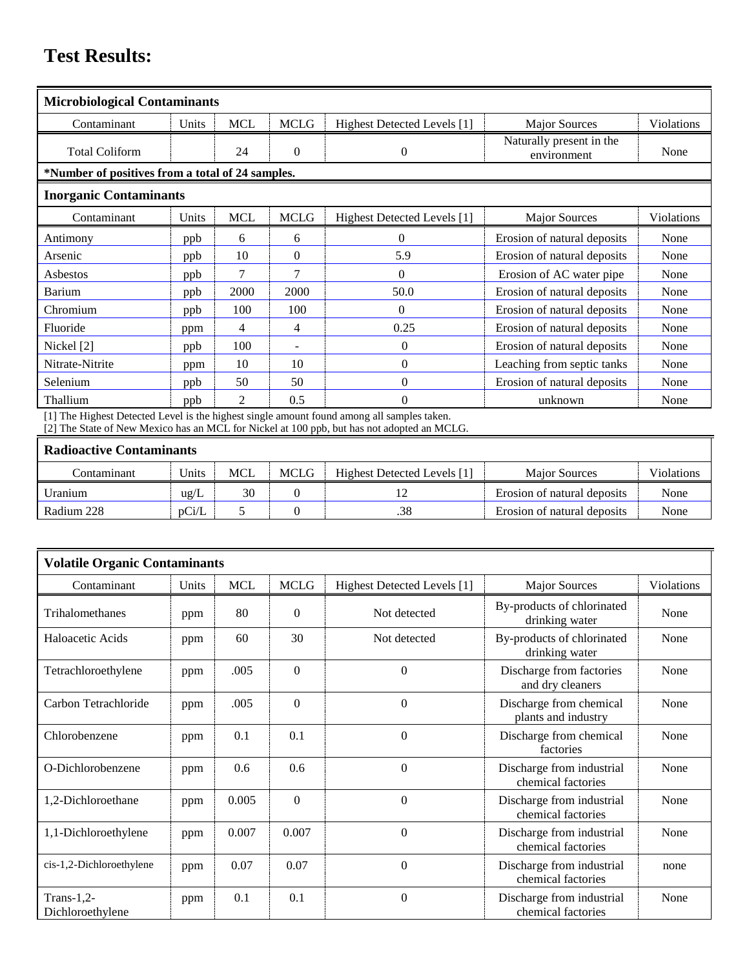# **Test Results:**

| <b>Microbiological Contaminants</b>              |       |                             |                          |                                                                                                                              |                                         |            |
|--------------------------------------------------|-------|-----------------------------|--------------------------|------------------------------------------------------------------------------------------------------------------------------|-----------------------------------------|------------|
| Contaminant                                      | Units | <b>MCL</b>                  | <b>MCLG</b>              | Highest Detected Levels [1]                                                                                                  | <b>Major Sources</b>                    | Violations |
| <b>Total Coliform</b>                            |       | 24                          | $\mathbf{0}$             | $\theta$                                                                                                                     | Naturally present in the<br>environment | None       |
| *Number of positives from a total of 24 samples. |       |                             |                          |                                                                                                                              |                                         |            |
| <b>Inorganic Contaminants</b>                    |       |                             |                          |                                                                                                                              |                                         |            |
| Contaminant                                      | Units | <b>MCL</b>                  | <b>MCLG</b>              | Highest Detected Levels [1]                                                                                                  | <b>Major Sources</b>                    | Violations |
| Antimony                                         | ppb   | 6                           | 6                        | $\Omega$                                                                                                                     | Erosion of natural deposits             | None       |
| Arsenic                                          | ppb   | 10                          | $\Omega$                 | 5.9                                                                                                                          | Erosion of natural deposits             | None       |
| Asbestos                                         | ppb   | $\tau$                      | 7                        | $\theta$                                                                                                                     | Erosion of AC water pipe                | None       |
| Barium                                           | ppb   | 2000                        | 2000                     | 50.0                                                                                                                         | Erosion of natural deposits             | None       |
| Chromium                                         | ppb   | 100                         | 100                      | $\Omega$                                                                                                                     | Erosion of natural deposits             | None       |
| Fluoride                                         | ppm   | 4                           | 4                        | 0.25                                                                                                                         | Erosion of natural deposits             | None       |
| Nickel [2]                                       | ppb   | 100                         | $\overline{\phantom{a}}$ | $\Omega$                                                                                                                     | Erosion of natural deposits             | None       |
| Nitrate-Nitrite                                  | ppm   | 10                          | 10                       | $\theta$                                                                                                                     | Leaching from septic tanks              | None       |
| Selenium                                         | ppb   | 50                          | 50                       | $\theta$                                                                                                                     | Erosion of natural deposits             | None       |
| Thallium                                         | ppb   | $\mathcal{D}_{\mathcal{L}}$ | 0.5                      | $\Omega$<br>F11 THE ETC character December 1 To control to the United States of the component from the component of the term | unknown                                 | None       |

[1] The Highest Detected Level is the highest single amount found among all samples taken. [2] The State of New Mexico has an MCL for Nickel at 100 ppb, but has not adopted an MCLG.

#### **Radioactive Contaminants**

| Contaminant | Units         | <b>MCL</b> | MCLG | Highest Detected Levels [1] | <b>Major Sources</b>        | Violations |
|-------------|---------------|------------|------|-----------------------------|-----------------------------|------------|
| Uranium     | ug/L          | 30         |      | ⊥∠                          | Erosion of natural deposits | None       |
| Radium 228  | $\rm{D}$ Ci/L |            |      | .38                         | Erosion of natural deposits | None       |

| <b>Volatile Organic Contaminants</b> |       |            |                |                             |                                                 |            |
|--------------------------------------|-------|------------|----------------|-----------------------------|-------------------------------------------------|------------|
| Contaminant                          | Units | <b>MCL</b> | <b>MCLG</b>    | Highest Detected Levels [1] | <b>Major Sources</b>                            | Violations |
| Trihalomethanes                      | ppm   | 80         | $\Omega$       | Not detected                | By-products of chlorinated<br>drinking water    | None       |
| Haloacetic Acids                     | ppm   | 60         | 30             | Not detected                | By-products of chlorinated<br>drinking water    | None       |
| Tetrachloroethylene                  | ppm   | .005       | $\Omega$       | $\theta$                    | Discharge from factories<br>and dry cleaners    | None       |
| Carbon Tetrachloride                 | ppm   | .005       | $\overline{0}$ | $\theta$                    | Discharge from chemical<br>plants and industry  | None       |
| Chlorobenzene                        | ppm   | 0.1        | 0.1            | $\overline{0}$              | Discharge from chemical<br>factories            | None       |
| O-Dichlorobenzene                    | ppm   | 0.6        | 0.6            | $\theta$                    | Discharge from industrial<br>chemical factories | None       |
| 1,2-Dichloroethane                   | ppm   | 0.005      | $\theta$       | $\theta$                    | Discharge from industrial<br>chemical factories | None       |
| 1,1-Dichloroethylene                 | ppm   | 0.007      | 0.007          | $\theta$                    | Discharge from industrial<br>chemical factories | None       |
| cis-1,2-Dichloroethylene             | ppm   | 0.07       | 0.07           | $\theta$                    | Discharge from industrial<br>chemical factories | none       |
| Trans- $1,2$ -<br>Dichloroethylene   | ppm   | 0.1        | 0.1            | $\overline{0}$              | Discharge from industrial<br>chemical factories | None       |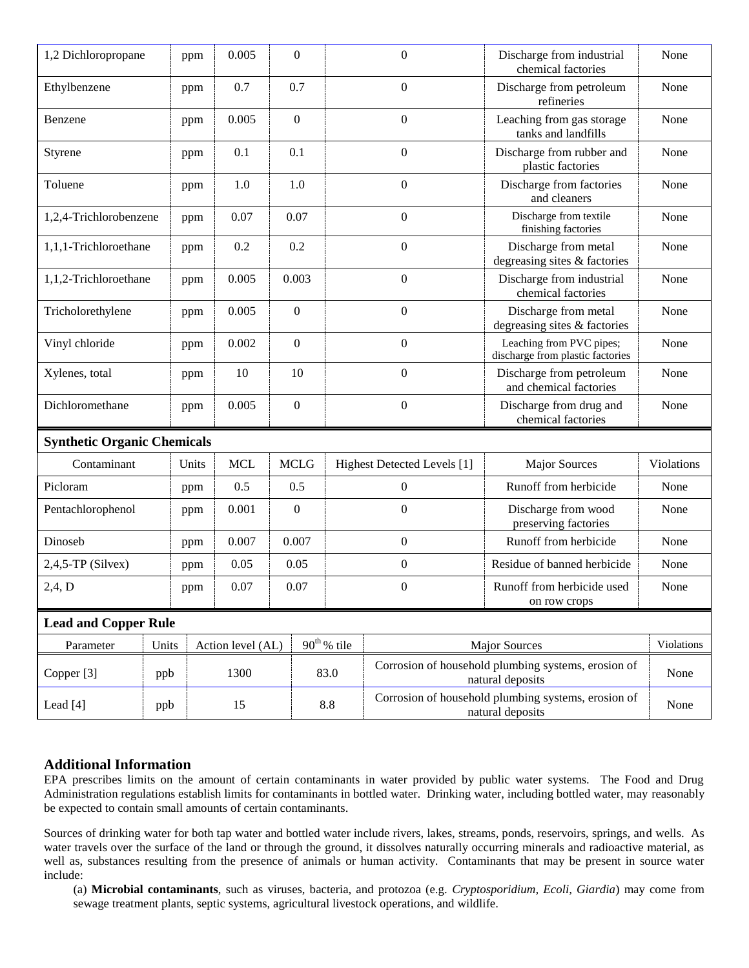| 1,2 Dichloropropane                |       | ppm   | 0.005             |  | $\mathbf{0}$                         | $\mathbf{0}$     |                             | Discharge from industrial<br>chemical factories                         | None       |
|------------------------------------|-------|-------|-------------------|--|--------------------------------------|------------------|-----------------------------|-------------------------------------------------------------------------|------------|
| Ethylbenzene                       |       | ppm   | 0.7               |  | 0.7                                  | $\boldsymbol{0}$ |                             | Discharge from petroleum<br>refineries                                  | None       |
| Benzene                            |       | ppm   | 0.005             |  | $\boldsymbol{0}$                     | $\boldsymbol{0}$ |                             | Leaching from gas storage<br>tanks and landfills                        | None       |
| Styrene                            |       | ppm   | 0.1               |  | 0.1                                  |                  | $\boldsymbol{0}$            | Discharge from rubber and<br>plastic factories                          | None       |
| Toluene                            |       | ppm   | 1.0               |  | 1.0                                  |                  | $\mathbf{0}$                | Discharge from factories<br>and cleaners                                | None       |
| 1,2,4-Trichlorobenzene             |       | ppm   | 0.07              |  | 0.07                                 |                  | $\boldsymbol{0}$            | Discharge from textile<br>finishing factories                           | None       |
| 1,1,1-Trichloroethane              |       | ppm   | 0.2               |  | 0.2                                  |                  | $\boldsymbol{0}$            | Discharge from metal<br>degreasing sites & factories                    | None       |
| 1,1,2-Trichloroethane              |       | ppm   | 0.005             |  | 0.003                                |                  | $\boldsymbol{0}$            | Discharge from industrial<br>chemical factories                         | None       |
| Tricholorethylene                  |       | ppm   | 0.005             |  | $\boldsymbol{0}$                     | $\boldsymbol{0}$ |                             | Discharge from metal<br>degreasing sites & factories                    | None       |
| Vinyl chloride                     |       | ppm   | 0.002             |  | $\boldsymbol{0}$                     | $\mathbf{0}$     |                             | Leaching from PVC pipes;<br>discharge from plastic factories            | None       |
| Xylenes, total                     |       | ppm   | 10                |  | 10<br>$\Omega$                       |                  |                             | Discharge from petroleum<br>and chemical factories                      | None       |
| Dichloromethane                    |       | ppm   | 0.005             |  | $\boldsymbol{0}$<br>$\boldsymbol{0}$ |                  |                             | Discharge from drug and<br>chemical factories                           | None       |
| <b>Synthetic Organic Chemicals</b> |       |       |                   |  |                                      |                  |                             |                                                                         |            |
| Contaminant                        |       | Units | <b>MCL</b>        |  | <b>MCLG</b>                          |                  | Highest Detected Levels [1] | <b>Major Sources</b>                                                    | Violations |
| Picloram                           |       | ppm   | 0.5               |  | 0.5                                  |                  | $\boldsymbol{0}$            | Runoff from herbicide                                                   | None       |
| Pentachlorophenol                  |       | ppm   | 0.001             |  | $\boldsymbol{0}$                     |                  | $\boldsymbol{0}$            | Discharge from wood<br>preserving factories                             | None       |
| Dinoseb                            |       | ppm   | 0.007             |  | 0.007                                | $\boldsymbol{0}$ |                             | Runoff from herbicide                                                   | None       |
| $2,4,5$ -TP (Silvex)               |       | ppm   | 0.05              |  | 0.05                                 | $\boldsymbol{0}$ |                             | Residue of banned herbicide                                             | None       |
| 2,4, D                             |       | ppm   | 0.07              |  | 0.07                                 | $\overline{0}$   |                             | Runoff from herbicide used<br>on row crops                              | None       |
| <b>Lead and Copper Rule</b>        |       |       |                   |  |                                      |                  |                             |                                                                         |            |
| Parameter                          | Units |       | Action level (AL) |  |                                      | $90th$ % tile    |                             | <b>Major Sources</b>                                                    | Violations |
| Copper [3]                         | ppb   |       | 1300              |  |                                      | 83.0             |                             | Corrosion of household plumbing systems, erosion of<br>natural deposits | None       |
| Lead [4]                           | ppb   | 15    |                   |  |                                      | 8.8              |                             | Corrosion of household plumbing systems, erosion of<br>natural deposits | None       |

### **Additional Information**

EPA prescribes limits on the amount of certain contaminants in water provided by public water systems. The Food and Drug Administration regulations establish limits for contaminants in bottled water. Drinking water, including bottled water, may reasonably be expected to contain small amounts of certain contaminants.

Sources of drinking water for both tap water and bottled water include rivers, lakes, streams, ponds, reservoirs, springs, and wells. As water travels over the surface of the land or through the ground, it dissolves naturally occurring minerals and radioactive material, as well as, substances resulting from the presence of animals or human activity. Contaminants that may be present in source water include:

(a) **Microbial contaminants**, such as viruses, bacteria, and protozoa (e.g. *Cryptosporidium, Ecoli, Giardia*) may come from sewage treatment plants, septic systems, agricultural livestock operations, and wildlife.